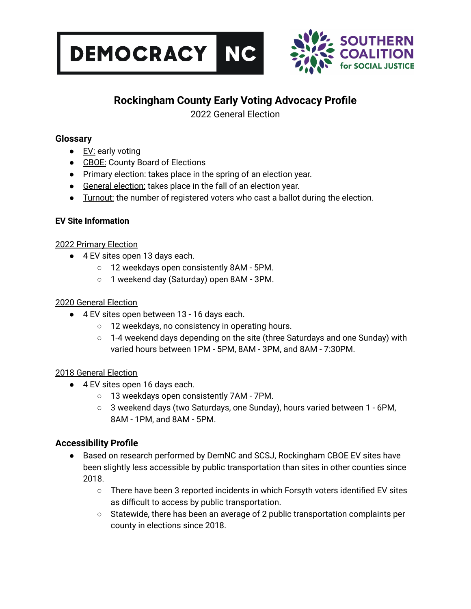



# **Rockingham County Early Voting Advocacy Profile**

2022 General Election

## **Glossary**

- EV: early voting
- CBOE: County Board of Elections
- Primary election: takes place in the spring of an election year.
- General election: takes place in the fall of an election year.
- Turnout: the number of registered voters who cast a ballot during the election.

## **EV Site Information**

## 2022 Primary Election

- 4 EV sites open 13 days each.
	- 12 weekdays open consistently 8AM 5PM.
	- 1 weekend day (Saturday) open 8AM 3PM.

# 2020 General Election

- 4 EV sites open between 13 16 days each.
	- 12 weekdays, no consistency in operating hours.
	- 1-4 weekend days depending on the site (three Saturdays and one Sunday) with varied hours between 1PM - 5PM, 8AM - 3PM, and 8AM - 7:30PM.

## 2018 General Election

- 4 EV sites open 16 days each.
	- 13 weekdays open consistently 7AM 7PM.
	- 3 weekend days (two Saturdays, one Sunday), hours varied between 1 6PM, 8AM - 1PM, and 8AM - 5PM.

# **Accessibility Profile**

- Based on research performed by DemNC and SCSJ, Rockingham CBOE EV sites have been slightly less accessible by public transportation than sites in other counties since 2018.
	- There have been 3 reported incidents in which Forsyth voters identified EV sites as difficult to access by public transportation.
	- $\circ$  Statewide, there has been an average of 2 public transportation complaints per county in elections since 2018.